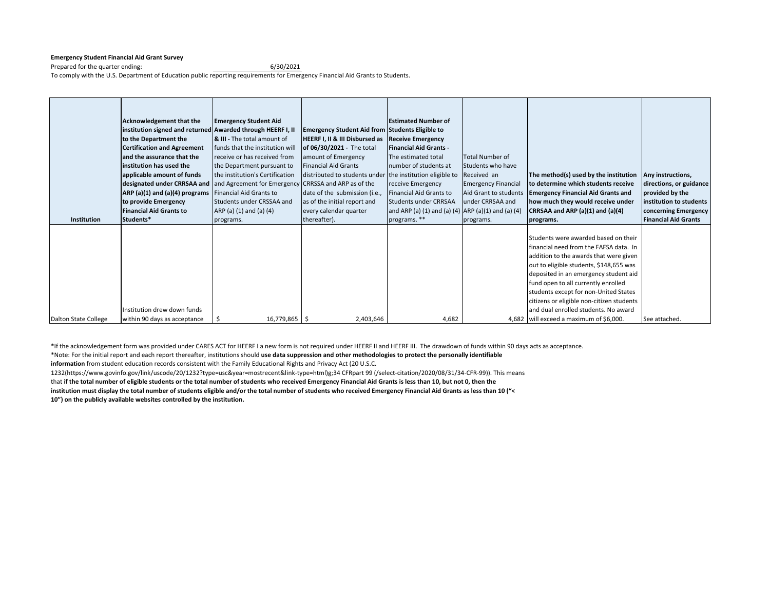## **Emergency Student Financial Aid Grant Survey**

Prepared for the quarter ending: 6/30/2021 To comply with the U.S. Department of Education public reporting requirements for Emergency Financial Aid Grants to Students.

|                      | <b>Acknowledgement that the</b>                                                  | <b>Emergency Student Aid</b>           |                                                           | <b>Estimated Number of</b>                         |                            |                                           |                             |
|----------------------|----------------------------------------------------------------------------------|----------------------------------------|-----------------------------------------------------------|----------------------------------------------------|----------------------------|-------------------------------------------|-----------------------------|
|                      | institution signed and returned Awarded through HEERF I, II                      |                                        | <b>Emergency Student Aid from Students Eligible to</b>    |                                                    |                            |                                           |                             |
|                      | to the Department the                                                            | <b>&amp; III - The total amount of</b> |                                                           |                                                    |                            |                                           |                             |
|                      |                                                                                  |                                        | HEERF I, II & III Disbursed as Receive Emergency          |                                                    |                            |                                           |                             |
|                      | <b>Certification and Agreement</b>                                               | funds that the institution will        | of 06/30/2021 - The total                                 | <b>Financial Aid Grants -</b>                      |                            |                                           |                             |
|                      | and the assurance that the                                                       | receive or has received from           | amount of Emergency                                       | The estimated total                                | <b>Total Number of</b>     |                                           |                             |
|                      | institution has used the                                                         | the Department pursuant to             | <b>Financial Aid Grants</b>                               | number of students at                              | Students who have          |                                           |                             |
|                      | applicable amount of funds                                                       | the institution's Certification        | distributed to students under the institution eligible to |                                                    | Received an                | The method(s) used by the institution     | Any instructions,           |
|                      | designated under CRRSAA and and Agreement for Emergency CRRSSA and ARP as of the |                                        |                                                           | receive Emergency                                  | <b>Emergency Financial</b> | to determine which students receive       | directions, or guidance     |
|                      | ARP (a)(1) and (a)(4) programs   Financial Aid Grants to                         |                                        | date of the submission (i.e.,                             | Financial Aid Grants to                            | Aid Grant to students      | <b>Emergency Financial Aid Grants and</b> | provided by the             |
|                      | to provide Emergency                                                             | Students under CRSSAA and              | as of the initial report and                              | Students under CRRSAA                              | under CRRSAA and           | how much they would receive under         | institution to students     |
|                      | <b>Financial Aid Grants to</b>                                                   | ARP (a) (1) and (a) (4)                | every calendar quarter                                    | and ARP (a) (1) and (a) (4) ARP (a)(1) and (a) (4) |                            | CRRSAA and ARP (a)(1) and (a)(4)          | concerning Emergency        |
| Institution          | Students*                                                                        | programs.                              | thereafter).                                              | programs. **                                       | programs.                  | programs.                                 | <b>Financial Aid Grants</b> |
|                      |                                                                                  |                                        |                                                           |                                                    |                            |                                           |                             |
|                      |                                                                                  |                                        |                                                           |                                                    |                            | Students were awarded based on their      |                             |
|                      |                                                                                  |                                        |                                                           |                                                    |                            | financial need from the FAFSA data. In    |                             |
|                      |                                                                                  |                                        |                                                           |                                                    |                            | addition to the awards that were given    |                             |
|                      |                                                                                  |                                        |                                                           |                                                    |                            | out to eligible students, \$148,655 was   |                             |
|                      |                                                                                  |                                        |                                                           |                                                    |                            | deposited in an emergency student aid     |                             |
|                      |                                                                                  |                                        |                                                           |                                                    |                            | fund open to all currently enrolled       |                             |
|                      |                                                                                  |                                        |                                                           |                                                    |                            | students except for non-United States     |                             |
|                      |                                                                                  |                                        |                                                           |                                                    |                            | citizens or eligible non-citizen students |                             |
|                      | Institution drew down funds                                                      |                                        |                                                           |                                                    |                            | and dual enrolled students. No award      |                             |
| Dalton State College | within 90 days as acceptance                                                     | $16,779,865$ \$                        | 2,403,646                                                 | 4,682                                              |                            | 4,682 will exceed a maximum of \$6,000.   | See attached.               |

\*If the acknowledgement form was provided under CARES ACT for HEERF I a new form is not required under HEERF II and HEERF III. The drawdown of funds within 90 days acts as acceptance.

\*Note: For the initial report and each report thereafter, institutions should **use data suppression and other methodologies to protect the personally identifiable** 

**information** from student education records consistent with the Family Educational Rights and Privacy Act (20 U.S.C.

1232(https://www.govinfo.gov/link/uscode/20/1232?type=usc&year=mostrecent&link-type=html)g;34 CFRpart 99 (/select-citation/2020/08/31/34-CFR-99)). This means

that **if the total number of eligible students or the total number of students who received Emergency Financial Aid Grants is less than 10, but not 0, then the** 

**institution must display the total number of students eligible and/or the total number of students who received Emergency Financial Aid Grants as less than 10 ("< 10") on the publicly available websites controlled by the institution.**